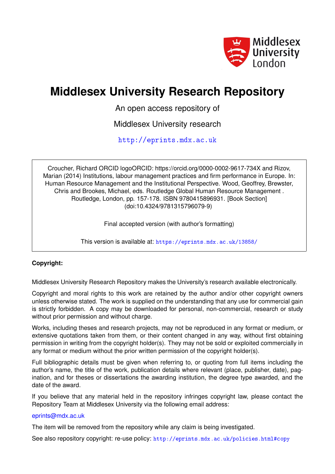

# **Middlesex University Research Repository**

An open access repository of

Middlesex University research

<http://eprints.mdx.ac.uk>

Croucher, Richard ORCID logoORCID: https://orcid.org/0000-0002-9617-734X and Rizov, Marian (2014) Institutions, labour management practices and firm performance in Europe. In: Human Resource Management and the Institutional Perspective. Wood, Geoffrey, Brewster, Chris and Brookes, Michael, eds. Routledge Global Human Resource Management . Routledge, London, pp. 157-178. ISBN 9780415896931. [Book Section] (doi:10.4324/9781315796079-9)

Final accepted version (with author's formatting)

This version is available at: <https://eprints.mdx.ac.uk/13858/>

# **Copyright:**

Middlesex University Research Repository makes the University's research available electronically.

Copyright and moral rights to this work are retained by the author and/or other copyright owners unless otherwise stated. The work is supplied on the understanding that any use for commercial gain is strictly forbidden. A copy may be downloaded for personal, non-commercial, research or study without prior permission and without charge.

Works, including theses and research projects, may not be reproduced in any format or medium, or extensive quotations taken from them, or their content changed in any way, without first obtaining permission in writing from the copyright holder(s). They may not be sold or exploited commercially in any format or medium without the prior written permission of the copyright holder(s).

Full bibliographic details must be given when referring to, or quoting from full items including the author's name, the title of the work, publication details where relevant (place, publisher, date), pagination, and for theses or dissertations the awarding institution, the degree type awarded, and the date of the award.

If you believe that any material held in the repository infringes copyright law, please contact the Repository Team at Middlesex University via the following email address:

### [eprints@mdx.ac.uk](mailto:eprints@mdx.ac.uk)

The item will be removed from the repository while any claim is being investigated.

See also repository copyright: re-use policy: <http://eprints.mdx.ac.uk/policies.html#copy>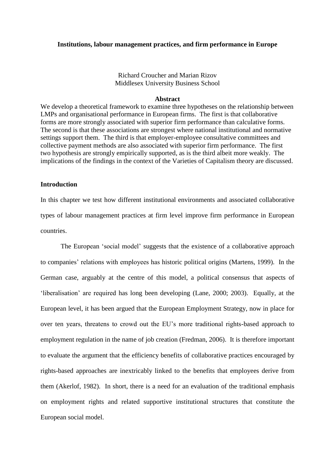#### **Institutions, labour management practices, and firm performance in Europe**

Richard Croucher and Marian Rizov Middlesex University Business School

#### **Abstract**

We develop a theoretical framework to examine three hypotheses on the relationship between LMPs and organisational performance in European firms. The first is that collaborative forms are more strongly associated with superior firm performance than calculative forms. The second is that these associations are strongest where national institutional and normative settings support them. The third is that employer-employee consultative committees and collective payment methods are also associated with superior firm performance. The first two hypothesis are strongly empirically supported, as is the third albeit more weakly. The implications of the findings in the context of the Varieties of Capitalism theory are discussed.

# **Introduction**

In this chapter we test how different institutional environments and associated collaborative types of labour management practices at firm level improve firm performance in European countries.

The European 'social model' suggests that the existence of a collaborative approach to companies' relations with employees has historic political origins (Martens, 1999). In the German case, arguably at the centre of this model, a political consensus that aspects of 'liberalisation' are required has long been developing (Lane, 2000; 2003). Equally, at the European level, it has been argued that the European Employment Strategy, now in place for over ten years, threatens to crowd out the EU's more traditional rights-based approach to employment regulation in the name of job creation (Fredman, 2006). It is therefore important to evaluate the argument that the efficiency benefits of collaborative practices encouraged by rights-based approaches are inextricably linked to the benefits that employees derive from them (Akerlof, 1982). In short, there is a need for an evaluation of the traditional emphasis on employment rights and related supportive institutional structures that constitute the European social model.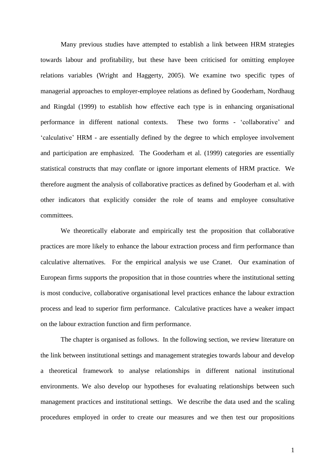Many previous studies have attempted to establish a link between HRM strategies towards labour and profitability, but these have been criticised for omitting employee relations variables (Wright and Haggerty, 2005). We examine two specific types of managerial approaches to employer-employee relations as defined by Gooderham, Nordhaug and Ringdal (1999) to establish how effective each type is in enhancing organisational performance in different national contexts. These two forms - 'collaborative' and 'calculative' HRM - are essentially defined by the degree to which employee involvement and participation are emphasized. The Gooderham et al. (1999) categories are essentially statistical constructs that may conflate or ignore important elements of HRM practice. We therefore augment the analysis of collaborative practices as defined by Gooderham et al. with other indicators that explicitly consider the role of teams and employee consultative committees.

We theoretically elaborate and empirically test the proposition that collaborative practices are more likely to enhance the labour extraction process and firm performance than calculative alternatives. For the empirical analysis we use Cranet. Our examination of European firms supports the proposition that in those countries where the institutional setting is most conducive, collaborative organisational level practices enhance the labour extraction process and lead to superior firm performance. Calculative practices have a weaker impact on the labour extraction function and firm performance.

The chapter is organised as follows. In the following section, we review literature on the link between institutional settings and management strategies towards labour and develop a theoretical framework to analyse relationships in different national institutional environments. We also develop our hypotheses for evaluating relationships between such management practices and institutional settings. We describe the data used and the scaling procedures employed in order to create our measures and we then test our propositions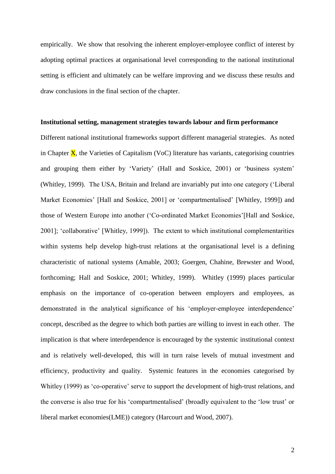empirically. We show that resolving the inherent employer-employee conflict of interest by adopting optimal practices at organisational level corresponding to the national institutional setting is efficient and ultimately can be welfare improving and we discuss these results and draw conclusions in the final section of the chapter.

#### **Institutional setting, management strategies towards labour and firm performance**

Different national institutional frameworks support different managerial strategies. As noted in Chapter  $\overline{X}$ , the Varieties of Capitalism (VoC) literature has variants, categorising countries and grouping them either by 'Variety' (Hall and Soskice, 2001) or 'business system' (Whitley, 1999). The USA, Britain and Ireland are invariably put into one category ('Liberal Market Economies' [Hall and Soskice, 2001] or 'compartmentalised' [Whitley, 1999]) and those of Western Europe into another ('Co-ordinated Market Economies'[Hall and Soskice, 2001]; 'collaborative' [Whitley, 1999]). The extent to which institutional complementarities within systems help develop high-trust relations at the organisational level is a defining characteristic of national systems (Amable, 2003; Goergen, Chahine, Brewster and Wood, forthcoming; Hall and Soskice, 2001; Whitley, 1999). Whitley (1999) places particular emphasis on the importance of co-operation between employers and employees, as demonstrated in the analytical significance of his 'employer-employee interdependence' concept, described as the degree to which both parties are willing to invest in each other. The implication is that where interdependence is encouraged by the systemic institutional context and is relatively well-developed, this will in turn raise levels of mutual investment and efficiency, productivity and quality. Systemic features in the economies categorised by Whitley (1999) as 'co-operative' serve to support the development of high-trust relations, and the converse is also true for his 'compartmentalised' (broadly equivalent to the 'low trust' or liberal market economies(LME)) category (Harcourt and Wood, 2007).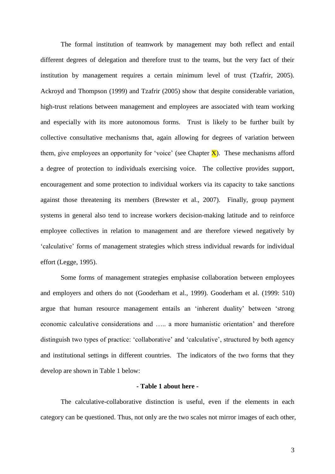The formal institution of teamwork by management may both reflect and entail different degrees of delegation and therefore trust to the teams, but the very fact of their institution by management requires a certain minimum level of trust (Tzafrir, 2005). Ackroyd and Thompson (1999) and Tzafrir (2005) show that despite considerable variation, high-trust relations between management and employees are associated with team working and especially with its more autonomous forms. Trust is likely to be further built by collective consultative mechanisms that, again allowing for degrees of variation between them, give employees an opportunity for 'voice' (see Chapter  $\bf{X}$ ). These mechanisms afford a degree of protection to individuals exercising voice. The collective provides support, encouragement and some protection to individual workers via its capacity to take sanctions against those threatening its members (Brewster et al., 2007). Finally, group payment systems in general also tend to increase workers decision-making latitude and to reinforce employee collectives in relation to management and are therefore viewed negatively by 'calculative' forms of management strategies which stress individual rewards for individual effort (Legge, 1995).

Some forms of management strategies emphasise collaboration between employees and employers and others do not (Gooderham et al., 1999). Gooderham et al. (1999: 510) argue that human resource management entails an 'inherent duality' between 'strong economic calculative considerations and ….. a more humanistic orientation' and therefore distinguish two types of practice: 'collaborative' and 'calculative', structured by both agency and institutional settings in different countries. The indicators of the two forms that they develop are shown in Table 1 below:

# **- Table 1 about here -**

The calculative-collaborative distinction is useful, even if the elements in each category can be questioned. Thus, not only are the two scales not mirror images of each other,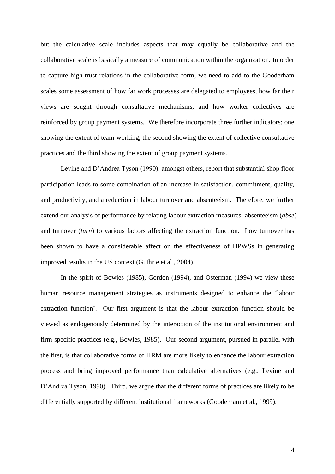but the calculative scale includes aspects that may equally be collaborative and the collaborative scale is basically a measure of communication within the organization. In order to capture high-trust relations in the collaborative form, we need to add to the Gooderham scales some assessment of how far work processes are delegated to employees, how far their views are sought through consultative mechanisms, and how worker collectives are reinforced by group payment systems. We therefore incorporate three further indicators: one showing the extent of team-working, the second showing the extent of collective consultative practices and the third showing the extent of group payment systems.

Levine and D'Andrea Tyson (1990), amongst others, report that substantial shop floor participation leads to some combination of an increase in satisfaction, commitment, quality, and productivity, and a reduction in labour turnover and absenteeism. Therefore, we further extend our analysis of performance by relating labour extraction measures: absenteeism (*abse*) and turnover (*turn*) to various factors affecting the extraction function. Low turnover has been shown to have a considerable affect on the effectiveness of HPWSs in generating improved results in the US context (Guthrie et al., 2004).

In the spirit of Bowles (1985), Gordon (1994), and Osterman (1994) we view these human resource management strategies as instruments designed to enhance the 'labour extraction function'. Our first argument is that the labour extraction function should be viewed as endogenously determined by the interaction of the institutional environment and firm-specific practices (e.g., Bowles, 1985). Our second argument, pursued in parallel with the first, is that collaborative forms of HRM are more likely to enhance the labour extraction process and bring improved performance than calculative alternatives (e.g., Levine and D'Andrea Tyson, 1990). Third, we argue that the different forms of practices are likely to be differentially supported by different institutional frameworks (Gooderham et al., 1999).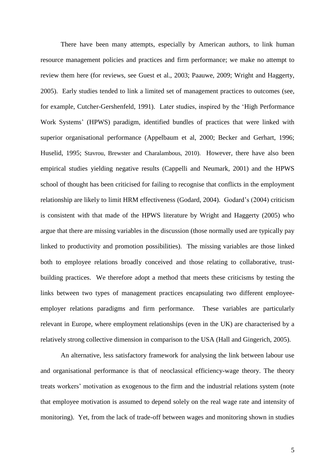There have been many attempts, especially by American authors, to link human resource management policies and practices and firm performance; we make no attempt to review them here (for reviews, see Guest et al., 2003; Paauwe, 2009; Wright and Haggerty, 2005). Early studies tended to link a limited set of management practices to outcomes (see, for example, Cutcher-Gershenfeld, 1991). Later studies, inspired by the 'High Performance Work Systems' (HPWS) paradigm, identified bundles of practices that were linked with superior organisational performance (Appelbaum et al, 2000; Becker and Gerhart, 1996; Huselid, 1995; Stavrou, Brewster and Charalambous, 2010). However, there have also been empirical studies yielding negative results (Cappelli and Neumark, 2001) and the HPWS school of thought has been criticised for failing to recognise that conflicts in the employment relationship are likely to limit HRM effectiveness (Godard, 2004). Godard's (2004) criticism is consistent with that made of the HPWS literature by Wright and Haggerty (2005) who argue that there are missing variables in the discussion (those normally used are typically pay linked to productivity and promotion possibilities). The missing variables are those linked both to employee relations broadly conceived and those relating to collaborative, trustbuilding practices. We therefore adopt a method that meets these criticisms by testing the links between two types of management practices encapsulating two different employeeemployer relations paradigms and firm performance. These variables are particularly relevant in Europe, where employment relationships (even in the UK) are characterised by a relatively strong collective dimension in comparison to the USA (Hall and Gingerich, 2005).

An alternative, less satisfactory framework for analysing the link between labour use and organisational performance is that of neoclassical efficiency-wage theory. The theory treats workers' motivation as exogenous to the firm and the industrial relations system (note that employee motivation is assumed to depend solely on the real wage rate and intensity of monitoring). Yet, from the lack of trade-off between wages and monitoring shown in studies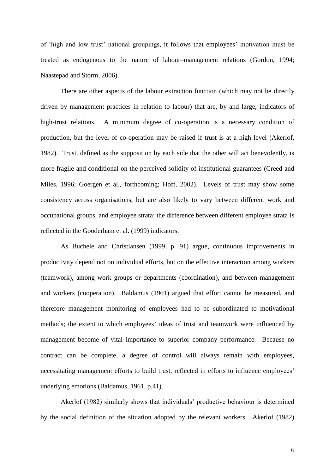of 'high and low trust' national groupings, it follows that employees' motivation must be treated as endogenous to the nature of labour–management relations (Gordon, 1994; Naastepad and Storm, 2006).

There are other aspects of the labour extraction function (which may not be directly driven by management practices in relation to labour) that are, by and large, indicators of high-trust relations. A minimum degree of co-operation is a necessary condition of production, but the level of co-operation may be raised if trust is at a high level (Akerlof, 1982). Trust, defined as the supposition by each side that the other will act benevolently, is more fragile and conditional on the perceived solidity of institutional guarantees (Creed and Miles, 1996; Goergen et al., forthcoming; Hoff, 2002). Levels of trust may show some consistency across organisations, but are also likely to vary between different work and occupational groups, and employee strata; the difference between different employee strata is reflected in the Gooderham et al. (1999) indicators.

As Buchele and Christiansen (1999, p. 91) argue, continuous improvements in productivity depend not on individual efforts, but on the effective interaction among workers (teamwork), among work groups or departments (coordination), and between management and workers (cooperation). Baldamus (1961) argued that effort cannot be measured, and therefore management monitoring of employees had to be subordinated to motivational methods; the extent to which employees' ideas of trust and teamwork were influenced by management become of vital importance to superior company performance. Because no contract can be complete, a degree of control will always remain with employees, necessitating management efforts to build trust, reflected in efforts to influence employees' underlying emotions (Baldamus, 1961, p.41).

Akerlof (1982) similarly shows that individuals' productive behaviour is determined by the social definition of the situation adopted by the relevant workers. Akerlof (1982)

6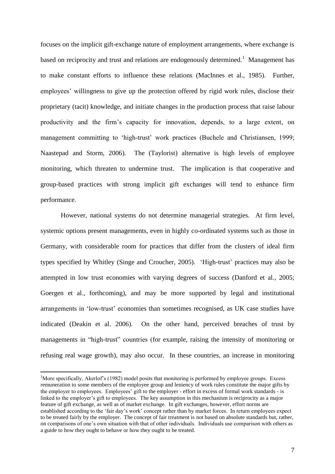focuses on the implicit gift-exchange nature of employment arrangements, where exchange is based on reciprocity and trust and relations are endogenously determined.<sup>1</sup> Management has to make constant efforts to influence these relations (MacInnes et al., 1985). Further, employees' willingness to give up the protection offered by rigid work rules, disclose their proprietary (tacit) knowledge, and initiate changes in the production process that raise labour productivity and the firm's capacity for innovation, depends, to a large extent, on management committing to 'high-trust' work practices (Buchele and Christiansen, 1999; Naastepad and Storm, 2006). The (Taylorist) alternative is high levels of employee monitoring, which threaten to undermine trust. The implication is that cooperative and group-based practices with strong implicit gift exchanges will tend to enhance firm performance.

However, national systems do not determine managerial strategies. At firm level, systemic options present managements, even in highly co-ordinated systems such as those in Germany, with considerable room for practices that differ from the clusters of ideal firm types specified by Whitley (Singe and Croucher, 2005). 'High-trust' practices may also be attempted in low trust economies with varying degrees of success (Danford et al., 2005; Goergen et al., forthcoming), and may be more supported by legal and institutional arrangements in 'low-trust' economies than sometimes recognised, as UK case studies have indicated (Deakin et al. 2006). On the other hand, perceived breaches of trust by managements in "high-trust" countries (for example, raising the intensity of monitoring or refusing real wage growth), may also occur. In these countries, an increase in monitoring

<u>.</u>

<sup>&</sup>lt;sup>1</sup>More specifically, Akerlof's (1982) model posits that monitoring is performed by employee groups. Excess remuneration to some members of the employee group and leniency of work rules constitute the major gifts by the employer to employees. Employees' gift to the employer - effort in excess of formal work standards - is linked to the employer's gift to employees. The key assumption in this mechanism is reciprocity as a major feature of gift exchange, as well as of market exchange. In gift exchanges, however, effort norms are established according to the 'fair day's work' concept rather than by market forces. In return employees expect to be treated fairly by the employer. The concept of fair treatment is not based on absolute standards but, rather, on comparisons of one's own situation with that of other individuals. Individuals use comparison with others as a guide to how they ought to behave or how they ought to be treated.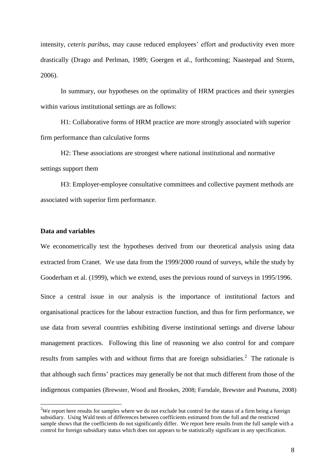intensity, *ceteris paribus*, may cause reduced employees' effort and productivity even more drastically (Drago and Perlman, 1989; Goergen et al., forthcoming; Naastepad and Storm, 2006).

In summary, our hypotheses on the optimality of HRM practices and their synergies within various institutional settings are as follows:

H1: Collaborative forms of HRM practice are more strongly associated with superior firm performance than calculative forms

H2: These associations are strongest where national institutional and normative settings support them

H3: Employer-employee consultative committees and collective payment methods are associated with superior firm performance.

# **Data and variables**

1

We econometrically test the hypotheses derived from our theoretical analysis using data extracted from Cranet. We use data from the 1999/2000 round of surveys, while the study by Gooderham et al. (1999), which we extend, uses the previous round of surveys in 1995/1996.

Since a central issue in our analysis is the importance of institutional factors and organisational practices for the labour extraction function, and thus for firm performance, we use data from several countries exhibiting diverse institutional settings and diverse labour management practices. Following this line of reasoning we also control for and compare results from samples with and without firms that are foreign subsidiaries. $2$  The rationale is that although such firms' practices may generally be not that much different from those of the indigenous companies (Brewster, Wood and Brookes, 2008; Farndale, Brewster and Poutsma, 2008)

<sup>&</sup>lt;sup>2</sup>We report here results for samples where we do not exclude but control for the status of a firm being a foreign subsidiary. Using Wald tests of differences between coefficients estimated from the full and the restricted sample shows that the coefficients do not significantly differ. We report here results from the full sample with a control for foreign subsidiary status which does not appears to be statistically significant in any specification.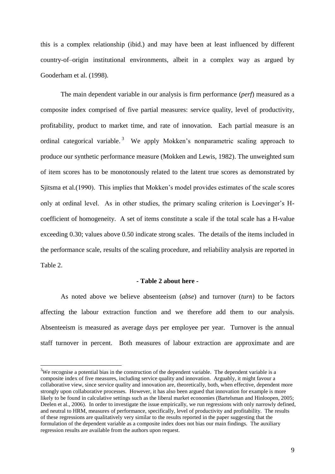this is a complex relationship (ibid.) and may have been at least influenced by different country-of–origin institutional environments, albeit in a complex way as argued by Gooderham et al. (1998).

The main dependent variable in our analysis is firm performance (*perf*) measured as a composite index comprised of five partial measures: service quality, level of productivity, profitability, product to market time, and rate of innovation. Each partial measure is an ordinal categorical variable.<sup>3</sup> We apply Mokken's nonparametric scaling approach to produce our synthetic performance measure (Mokken and Lewis, 1982). The unweighted sum of item scores has to be monotonously related to the latent true scores as demonstrated by Sjitsma et al.(1990). This implies that Mokken's model provides estimates of the scale scores only at ordinal level. As in other studies, the primary scaling criterion is Loevinger's Hcoefficient of homogeneity. A set of items constitute a scale if the total scale has a H-value exceeding 0.30; values above 0.50 indicate strong scales. The details of the items included in the performance scale, results of the scaling procedure, and reliability analysis are reported in Table 2.

#### **- Table 2 about here -**

As noted above we believe absenteeism (*abse*) and turnover (*turn*) to be factors affecting the labour extraction function and we therefore add them to our analysis. Absenteeism is measured as average days per employee per year. Turnover is the annual staff turnover in percent. Both measures of labour extraction are approximate and are

1

 $3W$ e recognise a potential bias in the construction of the dependent variable. The dependent variable is a composite index of five measures, including service quality and innovation. Arguably, it might favour a collaborative view, since service quality and innovation are, theoretically, both, when effective, dependent more strongly upon collaborative processes. However, it has also been argued that innovation for example is more likely to be found in calculative settings such as the liberal market economies (Bartelsman and Hinloopen, 2005; Deelen et al., 2006). In order to investigate the issue empirically, we run regressions with only narrowly defined, and neutral to HRM, measures of performance, specifically, level of productivity and profitability. The results of these regressions are qualitatively very similar to the results reported in the paper suggesting that the formulation of the dependent variable as a composite index does not bias our main findings. The auxiliary regression results are available from the authors upon request.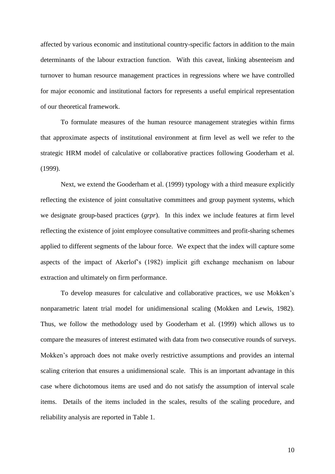affected by various economic and institutional country-specific factors in addition to the main determinants of the labour extraction function. With this caveat, linking absenteeism and turnover to human resource management practices in regressions where we have controlled for major economic and institutional factors for represents a useful empirical representation of our theoretical framework.

To formulate measures of the human resource management strategies within firms that approximate aspects of institutional environment at firm level as well we refer to the strategic HRM model of calculative or collaborative practices following Gooderham et al. (1999).

Next, we extend the Gooderham et al. (1999) typology with a third measure explicitly reflecting the existence of joint consultative committees and group payment systems, which we designate group-based practices (*grpr*). In this index we include features at firm level reflecting the existence of joint employee consultative committees and profit-sharing schemes applied to different segments of the labour force. We expect that the index will capture some aspects of the impact of Akerlof's (1982) implicit gift exchange mechanism on labour extraction and ultimately on firm performance.

To develop measures for calculative and collaborative practices, we use Mokken's nonparametric latent trial model for unidimensional scaling (Mokken and Lewis, 1982). Thus, we follow the methodology used by Gooderham et al. (1999) which allows us to compare the measures of interest estimated with data from two consecutive rounds of surveys. Mokken's approach does not make overly restrictive assumptions and provides an internal scaling criterion that ensures a unidimensional scale. This is an important advantage in this case where dichotomous items are used and do not satisfy the assumption of interval scale items. Details of the items included in the scales, results of the scaling procedure, and reliability analysis are reported in Table 1.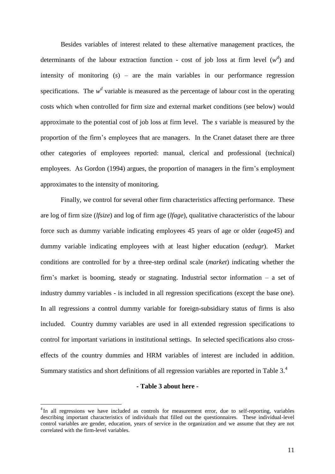Besides variables of interest related to these alternative management practices, the determinants of the labour extraction function - cost of job loss at firm level  $(w^d)$  and intensity of monitoring (*s*) – are the main variables in our performance regression specifications. The  $w<sup>d</sup>$  variable is measured as the percentage of labour cost in the operating costs which when controlled for firm size and external market conditions (see below) would approximate to the potential cost of job loss at firm level. The *s* variable is measured by the proportion of the firm's employees that are managers. In the Cranet dataset there are three other categories of employees reported: manual, clerical and professional (technical) employees. As Gordon (1994) argues, the proportion of managers in the firm's employment approximates to the intensity of monitoring.

Finally, we control for several other firm characteristics affecting performance. These are log of firm size (*lfsize*) and log of firm age (*lfage*), qualitative characteristics of the labour force such as dummy variable indicating employees 45 years of age or older (*eage45*) and dummy variable indicating employees with at least higher education (*eedugr*). Market conditions are controlled for by a three-step ordinal scale (*market*) indicating whether the firm's market is booming, steady or stagnating. Industrial sector information – a set of industry dummy variables - is included in all regression specifications (except the base one). In all regressions a control dummy variable for foreign-subsidiary status of firms is also included. Country dummy variables are used in all extended regression specifications to control for important variations in institutional settings. In selected specifications also crosseffects of the country dummies and HRM variables of interest are included in addition. Summary statistics and short definitions of all regression variables are reported in Table 3.<sup>4</sup>

#### **- Table 3 about here -**

1

<sup>&</sup>lt;sup>4</sup>In all regressions we have included as controls for measurement error, due to self-reporting, variables describing important characteristics of individuals that filled out the questionnaires. These individual-level control variables are gender, education, years of service in the organization and we assume that they are not correlated with the firm-level variables.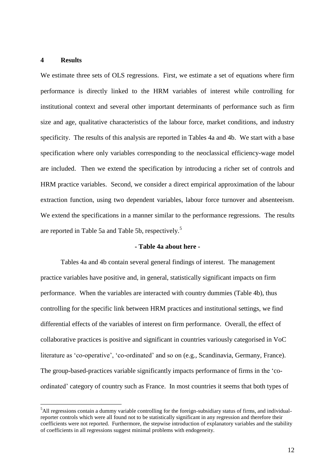#### **4 Results**

1

We estimate three sets of OLS regressions. First, we estimate a set of equations where firm performance is directly linked to the HRM variables of interest while controlling for institutional context and several other important determinants of performance such as firm size and age, qualitative characteristics of the labour force, market conditions, and industry specificity. The results of this analysis are reported in Tables 4a and 4b. We start with a base specification where only variables corresponding to the neoclassical efficiency-wage model are included. Then we extend the specification by introducing a richer set of controls and HRM practice variables. Second, we consider a direct empirical approximation of the labour extraction function, using two dependent variables, labour force turnover and absenteeism. We extend the specifications in a manner similar to the performance regressions. The results are reported in Table 5a and Table 5b, respectively.<sup>5</sup>

#### **- Table 4a about here -**

Tables 4a and 4b contain several general findings of interest. The management practice variables have positive and, in general, statistically significant impacts on firm performance. When the variables are interacted with country dummies (Table 4b), thus controlling for the specific link between HRM practices and institutional settings, we find differential effects of the variables of interest on firm performance. Overall, the effect of collaborative practices is positive and significant in countries variously categorised in VoC literature as 'co-operative', 'co-ordinated' and so on (e.g., Scandinavia, Germany, France). The group-based-practices variable significantly impacts performance of firms in the 'coordinated' category of country such as France. In most countries it seems that both types of

 $<sup>5</sup>$ All regressions contain a dummy variable controlling for the foreign-subsidiary status of firms, and individual-</sup> reporter controls which were all found not to be statistically significant in any regression and therefore their coefficients were not reported. Furthermore, the stepwise introduction of explanatory variables and the stability of coefficients in all regressions suggest minimal problems with endogeneity.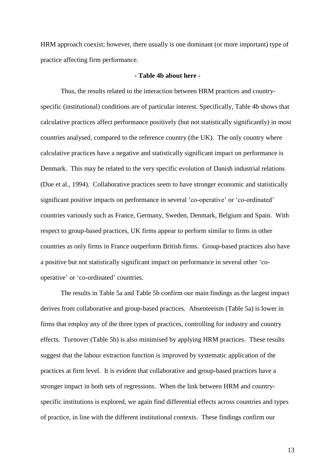HRM approach coexist; however, there usually is one dominant (or more important) type of practice affecting firm performance.

#### **- Table 4b about here -**

Thus, the results related to the interaction between HRM practices and countryspecific (institutional) conditions are of particular interest. Specifically, Table 4b shows that calculative practices affect performance positively (but not statistically significantly) in most countries analysed, compared to the reference country (the UK). The only country where calculative practices have a negative and statistically significant impact on performance is Denmark. This may be related to the very specific evolution of Danish industrial relations (Due et al., 1994). Collaborative practices seem to have stronger economic and statistically significant positive impacts on performance in several 'co-operative' or 'co-ordinated' countries variously such as France, Germany, Sweden, Denmark, Belgium and Spain. With respect to group-based practices, UK firms appear to perform similar to firms in other countries as only firms in France outperform British firms. Group-based practices also have a positive but not statistically significant impact on performance in several other 'cooperative' or 'co-ordinated' countries.

The results in Table 5a and Table 5b confirm our main findings as the largest impact derives from collaborative and group-based practices. Absenteeism (Table 5a) is lower in firms that employ any of the three types of practices, controlling for industry and country effects. Turnover (Table 5b) is also minimised by applying HRM practices. These results suggest that the labour extraction function is improved by systematic application of the practices at firm level. It is evident that collaborative and group-based practices have a stronger impact in both sets of regressions. When the link between HRM and countryspecific institutions is explored, we again find differential effects across countries and types of practice, in line with the different institutional contexts. These findings confirm our

13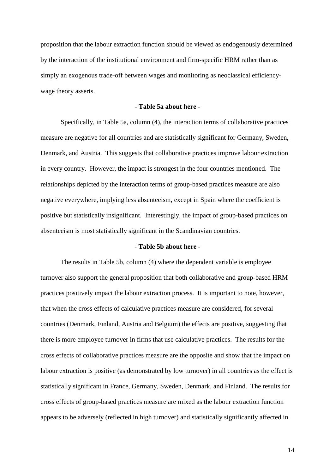proposition that the labour extraction function should be viewed as endogenously determined by the interaction of the institutional environment and firm-specific HRM rather than as simply an exogenous trade-off between wages and monitoring as neoclassical efficiencywage theory asserts.

#### **- Table 5a about here -**

Specifically, in Table 5a, column (4), the interaction terms of collaborative practices measure are negative for all countries and are statistically significant for Germany, Sweden, Denmark, and Austria. This suggests that collaborative practices improve labour extraction in every country. However, the impact is strongest in the four countries mentioned. The relationships depicted by the interaction terms of group-based practices measure are also negative everywhere, implying less absenteeism, except in Spain where the coefficient is positive but statistically insignificant. Interestingly, the impact of group-based practices on absenteeism is most statistically significant in the Scandinavian countries.

#### **- Table 5b about here -**

The results in Table 5b, column (4) where the dependent variable is employee turnover also support the general proposition that both collaborative and group-based HRM practices positively impact the labour extraction process. It is important to note, however, that when the cross effects of calculative practices measure are considered, for several countries (Denmark, Finland, Austria and Belgium) the effects are positive, suggesting that there is more employee turnover in firms that use calculative practices. The results for the cross effects of collaborative practices measure are the opposite and show that the impact on labour extraction is positive (as demonstrated by low turnover) in all countries as the effect is statistically significant in France, Germany, Sweden, Denmark, and Finland. The results for cross effects of group-based practices measure are mixed as the labour extraction function appears to be adversely (reflected in high turnover) and statistically significantly affected in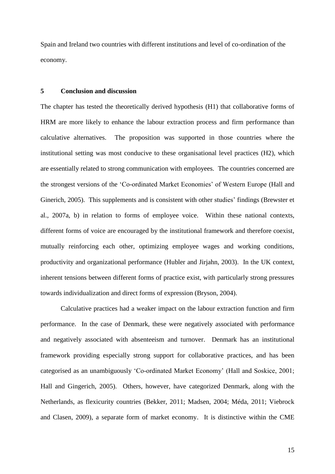Spain and Ireland two countries with different institutions and level of co-ordination of the economy.

### **5 Conclusion and discussion**

The chapter has tested the theoretically derived hypothesis (H1) that collaborative forms of HRM are more likely to enhance the labour extraction process and firm performance than calculative alternatives. The proposition was supported in those countries where the institutional setting was most conducive to these organisational level practices (H2), which are essentially related to strong communication with employees. The countries concerned are the strongest versions of the 'Co-ordinated Market Economies' of Western Europe (Hall and Ginerich, 2005). This supplements and is consistent with other studies' findings (Brewster et al., 2007a, b) in relation to forms of employee voice. Within these national contexts, different forms of voice are encouraged by the institutional framework and therefore coexist, mutually reinforcing each other, optimizing employee wages and working conditions, productivity and organizational performance (Hubler and Jirjahn, 2003). In the UK context, inherent tensions between different forms of practice exist, with particularly strong pressures towards individualization and direct forms of expression (Bryson, 2004).

Calculative practices had a weaker impact on the labour extraction function and firm performance. In the case of Denmark, these were negatively associated with performance and negatively associated with absenteeism and turnover. Denmark has an institutional framework providing especially strong support for collaborative practices, and has been categorised as an unambiguously 'Co-ordinated Market Economy' (Hall and Soskice, 2001; Hall and Gingerich, 2005). Others, however, have categorized Denmark, along with the Netherlands, as flexicurity countries (Bekker, 2011; Madsen, 2004; Méda, 2011; Viebrock and Clasen, 2009), a separate form of market economy. It is distinctive within the CME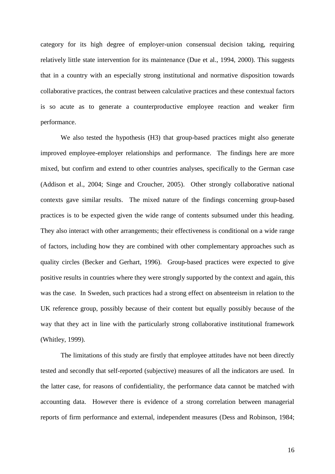category for its high degree of employer-union consensual decision taking, requiring relatively little state intervention for its maintenance (Due et al., 1994, 2000). This suggests that in a country with an especially strong institutional and normative disposition towards collaborative practices, the contrast between calculative practices and these contextual factors is so acute as to generate a counterproductive employee reaction and weaker firm performance.

We also tested the hypothesis (H3) that group-based practices might also generate improved employee-employer relationships and performance. The findings here are more mixed, but confirm and extend to other countries analyses, specifically to the German case (Addison et al., 2004; Singe and Croucher, 2005). Other strongly collaborative national contexts gave similar results. The mixed nature of the findings concerning group-based practices is to be expected given the wide range of contents subsumed under this heading. They also interact with other arrangements; their effectiveness is conditional on a wide range of factors, including how they are combined with other complementary approaches such as quality circles (Becker and Gerhart, 1996). Group-based practices were expected to give positive results in countries where they were strongly supported by the context and again, this was the case. In Sweden, such practices had a strong effect on absenteeism in relation to the UK reference group, possibly because of their content but equally possibly because of the way that they act in line with the particularly strong collaborative institutional framework (Whitley, 1999).

The limitations of this study are firstly that employee attitudes have not been directly tested and secondly that self-reported (subjective) measures of all the indicators are used. In the latter case, for reasons of confidentiality, the performance data cannot be matched with accounting data. However there is evidence of a strong correlation between managerial reports of firm performance and external, independent measures (Dess and Robinson, 1984;

16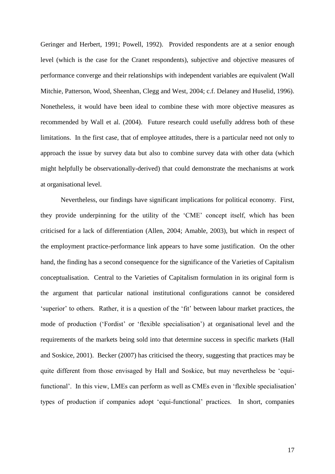Geringer and Herbert, 1991; Powell, 1992). Provided respondents are at a senior enough level (which is the case for the Cranet respondents), subjective and objective measures of performance converge and their relationships with independent variables are equivalent (Wall Mitchie, Patterson, Wood, Sheenhan, Clegg and West, 2004; c.f. Delaney and Huselid, 1996). Nonetheless, it would have been ideal to combine these with more objective measures as recommended by Wall et al. (2004). Future research could usefully address both of these limitations. In the first case, that of employee attitudes, there is a particular need not only to approach the issue by survey data but also to combine survey data with other data (which might helpfully be observationally-derived) that could demonstrate the mechanisms at work at organisational level.

Nevertheless, our findings have significant implications for political economy. First, they provide underpinning for the utility of the 'CME' concept itself, which has been criticised for a lack of differentiation (Allen, 2004; Amable, 2003), but which in respect of the employment practice-performance link appears to have some justification. On the other hand, the finding has a second consequence for the significance of the Varieties of Capitalism conceptualisation. Central to the Varieties of Capitalism formulation in its original form is the argument that particular national institutional configurations cannot be considered 'superior' to others. Rather, it is a question of the 'fit' between labour market practices, the mode of production ('Fordist' or 'flexible specialisation') at organisational level and the requirements of the markets being sold into that determine success in specific markets (Hall and Soskice, 2001). Becker (2007) has criticised the theory, suggesting that practices may be quite different from those envisaged by Hall and Soskice, but may nevertheless be 'equifunctional'. In this view, LMEs can perform as well as CMEs even in 'flexible specialisation' types of production if companies adopt 'equi-functional' practices. In short, companies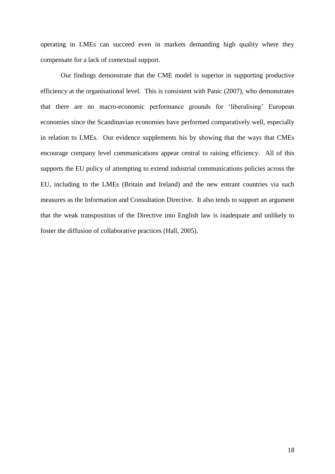operating in LMEs can succeed even in markets demanding high quality where they compensate for a lack of contextual support.

Our findings demonstrate that the CME model is superior in supporting productive efficiency at the organisational level. This is consistent with Panic (2007), who demonstrates that there are no macro-economic performance grounds for 'liberalising' European economies since the Scandinavian economies have performed comparatively well, especially in relation to LMEs. Our evidence supplements his by showing that the ways that CMEs encourage company level communications appear central to raising efficiency. All of this supports the EU policy of attempting to extend industrial communications policies across the EU, including to the LMEs (Britain and Ireland) and the new entrant countries via such measures as the Information and Consultation Directive. It also tends to support an argument that the weak transposition of the Directive into English law is inadequate and unlikely to foster the diffusion of collaborative practices (Hall, 2005).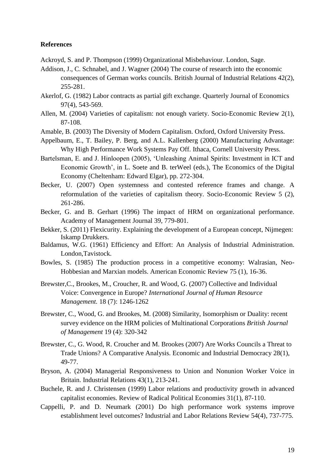### **References**

- Ackroyd, S. and P. Thompson (1999) Organizational Misbehaviour. London, Sage.
- Addison, J., C. Schnabel, and J. Wagner (2004) The course of research into the economic consequences of German works councils. British Journal of Industrial Relations 42(2), 255-281.
- Akerlof, G. (1982) Labor contracts as partial gift exchange. Quarterly Journal of Economics 97(4), 543-569.
- Allen, M. (2004) Varieties of capitalism: not enough variety. Socio-Economic Review 2(1), 87-108.
- Amable, B. (2003) The Diversity of Modern Capitalism. Oxford, Oxford University Press.
- Appelbaum, E., T. Bailey, P. Berg, and A.L. Kallenberg (2000) Manufacturing Advantage: Why High Performance Work Systems Pay Off. Ithaca, Cornell University Press.
- Bartelsman, E. and J. Hinloopen (2005), 'Unleashing Animal Spirits: Investment in ICT and Economic Growth', in L. Soete and B. terWeel (eds.), The Economics of the Digital Economy (Cheltenham: Edward Elgar), pp. 272-304.
- Becker, U. (2007) Open systemness and contested reference frames and change. A reformulation of the varieties of capitalism theory. Socio-Economic Review 5 (2), 261-286.
- Becker, G. and B. Gerhart (1996) The impact of HRM on organizational performance. Academy of Management Journal 39, 779-801.
- Bekker, S. (2011) Flexicurity. Explaining the development of a European concept, Nijmegen: Iskamp Drukkers.
- Baldamus, W.G. (1961) Efficiency and Effort: An Analysis of Industrial Administration. London,Tavistock.
- Bowles, S. (1985) The production process in a competitive economy: Walrasian, Neo-Hobbesian and Marxian models. American Economic Review 75 (1), 16-36.
- Brewster,C., Brookes, M., Croucher, R. and Wood, G. (2007) Collective and Individual Voice: Convergence in Europe? *International Journal of Human Resource Management.* 18 (7): 1246-1262
- Brewster, C., Wood, G. and Brookes, M. (2008) Similarity, Isomorphism or Duality: recent survey evidence on the HRM policies of Multinational Corporations *British Journal of Management* 19 (4): 320-342
- Brewster, C., G. Wood, R. Croucher and M. Brookes (2007) Are Works Councils a Threat to Trade Unions? A Comparative Analysis. Economic and Industrial Democracy 28(1), 49-77.
- Bryson, A. (2004) Managerial Responsiveness to Union and Nonunion Worker Voice in Britain. Industrial Relations 43(1), 213-241.
- Buchele, R. and J. Christensen (1999) Labor relations and productivity growth in advanced capitalist economies. Review of Radical Political Economies 31(1), 87-110.
- Cappelli, P. and D. Neumark (2001) Do high performance work systems improve establishment level outcomes? Industrial and Labor Relations Review 54(4), 737-775.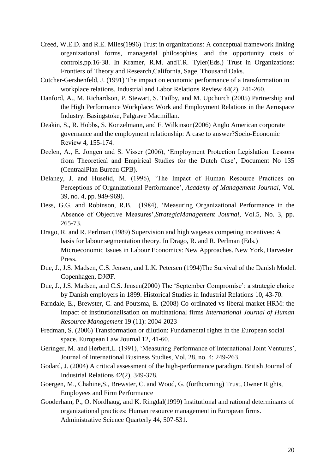- Creed, W.E.D. and R.E. Miles(1996) Trust in organizations: A conceptual framework linking organizational forms, managerial philosophies, and the opportunity costs of controls,pp.16-38. In Kramer, R.M. andT.R. Tyler(Eds.) Trust in Organizations: Frontiers of Theory and Research,California, Sage, Thousand Oaks.
- Cutcher-Gershenfeld, J. (1991) The impact on economic performance of a transformation in workplace relations. Industrial and Labor Relations Review 44(2), 241-260.
- Danford, A., M. Richardson, P. Stewart, S. Tailby, and M. Upchurch (2005) Partnership and the High Performance Workplace: Work and Employment Relations in the Aerospace Industry. Basingstoke, Palgrave Macmillan.
- Deakin, S., R. Hobbs, S. Konzelmann, and F. Wilkinson(2006) Anglo American corporate governance and the employment relationship: A case to answer?Socio-Economic Review 4, 155-174.
- Deelen, A., E. Jongen and S. Visser (2006), 'Employment Protection Legislation. Lessons from Theoretical and Empirical Studies for the Dutch Case', Document No 135 (CentraalPlan Bureau CPB).
- Delaney, J. and Huselid, M. (1996), 'The Impact of Human Resource Practices on Perceptions of Organizational Performance', *Academy of Management Journal*, Vol. 39, no. 4, pp. 949-969).
- Dess, G.G. and Robinson, R.B. (1984), 'Measuring Organizational Performance in the Absence of Objective Measures',*StrategicManagement Journal*, Vol.5, No. 3, pp. 265-73.
- Drago, R. and R. Perlman (1989) Supervision and high wagesas competing incentives: A basis for labour segmentation theory. In Drago, R. and R. Perlman (Eds.) Microeconomic Issues in Labour Economics: New Approaches. New York, Harvester Press.
- Due, J., J.S. Madsen, C.S. Jensen, and L.K. Petersen (1994)The Survival of the Danish Model. Copenhagen, DJØF.
- Due, J., J.S. Madsen, and C.S. Jensen(2000) The 'September Compromise': a strategic choice by Danish employers in 1899. Historical Studies in Industrial Relations 10, 43-70.
- Farndale, E., Brewster, C. and Poutsma, E. (2008) Co-ordinated vs liberal market HRM: the impact of institutionalisation on multinational firms *International Journal of Human Resource Management* 19 (11): 2004-2023
- Fredman, S. (2006) Transformation or dilution: Fundamental rights in the European social space. European Law Journal 12, 41-60.
- Geringer, M. and Herbert,L. (1991), 'Measuring Performance of International Joint Ventures', Journal of International Business Studies, Vol. 28, no. 4: 249-263.
- Godard, J. (2004) A critical assessment of the high-performance paradigm. British Journal of Industrial Relations 42(2), 349-378.
- Goergen, M., Chahine,S., Brewster, C. and Wood, G. (forthcoming) Trust, Owner Rights, Employees and Firm Performance
- Gooderham, P., O. Nordhaug, and K. Ringdal(1999) Institutional and rational determinants of organizational practices: Human resource management in European firms. Administrative Science Quarterly 44, 507-531.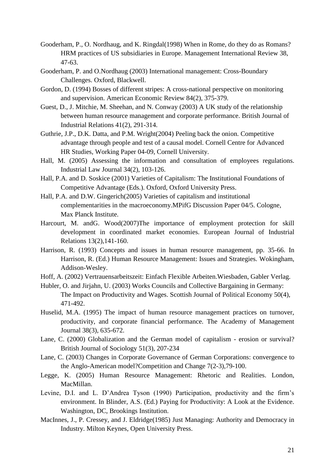- Gooderham, P., O. Nordhaug, and K. Ringdal(1998) When in Rome, do they do as Romans? HRM practices of US subsidiaries in Europe. Management International Review 38, 47-63.
- Gooderham, P. and O.Nordhaug (2003) International management: Cross-Boundary Challenges. Oxford, Blackwell.
- Gordon, D. (1994) Bosses of different stripes: A cross-national perspective on monitoring and supervision. American Economic Review 84(2), 375-379.
- Guest, D., J. Mitchie, M. Sheehan, and N. Conway (2003) A UK study of the relationship between human resource management and corporate performance. British Journal of Industrial Relations 41(2), 291-314.
- Guthrie, J.P., D.K. Datta, and P.M. Wright(2004) Peeling back the onion. Competitive advantage through people and test of a causal model. Cornell Centre for Advanced HR Studies, Working Paper 04-09, Cornell University.
- Hall, M. (2005) Assessing the information and consultation of employees regulations. Industrial Law Journal 34(2), 103-126.
- Hall, P.A. and D. Soskice (2001) Varieties of Capitalism: The Institutional Foundations of Competitive Advantage (Eds.). Oxford, Oxford University Press.
- Hall, P.A. and D.W. Gingerich(2005) Varieties of capitalism and institutional complementarities in the macroeconomy.MPifG Discussion Paper 04/5. Cologne, Max Planck Institute.
- Harcourt, M. andG. Wood(2007)The importance of employment protection for skill development in coordinated market economies. European Journal of Industrial Relations 13(2),141-160.
- Harrison, R. (1993) Concepts and issues in human resource management, pp. 35-66. In Harrison, R. (Ed.) Human Resource Management: Issues and Strategies. Wokingham, Addison-Wesley.
- Hoff, A. (2002) Vertrauensarbeitszeit: Einfach Flexible Arbeiten.Wiesbaden, Gabler Verlag.
- Hubler, O. and Jirjahn, U. (2003) Works Councils and Collective Bargaining in Germany: The Impact on Productivity and Wages. Scottish Journal of Political Economy 50(4), 471-492.
- Huselid, M.A. (1995) The impact of human resource management practices on turnover, productivity, and corporate financial performance. The Academy of Management Journal 38(3), 635-672.
- Lane, C. (2000) Globalization and the German model of capitalism erosion or survival? British Journal of Sociology 51(3), 207-234
- Lane, C. (2003) Changes in Corporate Governance of German Corporations: convergence to the Anglo-American model?Competition and Change 7(2-3),79-100.
- Legge, K. (2005) Human Resource Management: Rhetoric and Realities. London, MacMillan.
- Levine, D.I. and L. D'Andrea Tyson (1990) Participation, productivity and the firm's environment. In Blinder, A.S. (Ed.) Paying for Productivity: A Look at the Evidence. Washington, DC, Brookings Institution.
- MacInnes, J., P. Cressey, and J. Eldridge(1985) Just Managing: Authority and Democracy in Industry. Milton Keynes, Open University Press.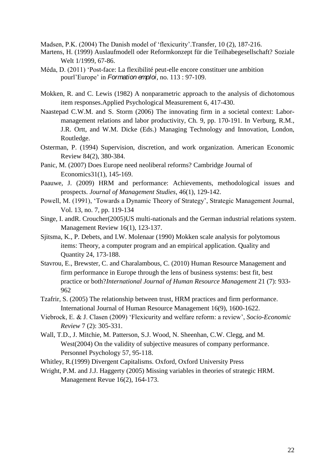Madsen, P.K. (2004) The Danish model of 'flexicurity'.Transfer, 10 (2), 187-216.

- Martens, H. (1999) Auslaufmodell oder Reformkonzept für die Teilhabegesellschaft? Soziale Welt 1/1999, 67-86.
- Méda, D. (2011) 'Post-face: La flexibilité peut-elle encore constituer une ambition pourl'Europe' in *Formation emploi*, no. 113 : 97-109.
- Mokken, R. and C. Lewis (1982) A nonparametric approach to the analysis of dichotomous item responses.Applied Psychological Measurement 6, 417-430.
- Naastepad C.W.M. and S. Storm (2006) [The innovating firm in a societal context: Labor](http://www.tbm.tudelft.nl/live/pagina.jsp?id=ad4be6bd-843d-4a76-a8f2-54c034d16d98&lang=nl&binary=/doc/ch91.pdf)[management relations and labor productivity,](http://www.tbm.tudelft.nl/live/pagina.jsp?id=ad4be6bd-843d-4a76-a8f2-54c034d16d98&lang=nl&binary=/doc/ch91.pdf) Ch. 9, pp. 170-191. In Verburg, R.M., J.R. Ortt, and W.M. Dicke (Eds.) Managing Technology and Innovation, London, Routledge.
- Osterman, P. (1994) Supervision, discretion, and work organization. American Economic Review 84(2), 380-384.
- Panic, M. (2007) Does Europe need neoliberal reforms? Cambridge Journal of Economics31(1), 145-169.
- Paauwe, J. (2009) HRM and performance: Achievements, methodological issues and prospects. *Journal of Management Studies*, 46(1), 129-142.
- Powell, M. (1991), 'Towards a Dynamic Theory of Strategy', Strategic Management Journal, Vol. 13, no. 7, pp. 119-134
- Singe, I. andR. Croucher(2005)US multi-nationals and the German industrial relations system. Management Review 16(1), 123-137.
- Sjitsma, K., P. Debets, and I.W. Molenaar (1990) Mokken scale analysis for polytomous items: Theory, a computer program and an empirical application. Quality and Quantity 24, 173-188.
- Stavrou, E., Brewster, C. and Charalambous, C. (2010) Human Resource Management and firm performance in Europe through the lens of business systems: best fit, best practice or both?*International Journal of Human Resource Management* 21 (7): 933- 962
- Tzafrir, S. (2005) The relationship between trust, HRM practices and firm performance. International Journal of Human Resource Management 16(9), 1600-1622.
- Viebrock, E. & J. Clasen (2009) 'Flexicurity and welfare reform: a review', *Socio-Economic Review* 7 (2): 305-331.
- Wall, T.D., J. Mitchie, M. Patterson, S.J. Wood, N. Sheenhan, C.W. Clegg, and M. West(2004) On the validity of subjective measures of company performance. Personnel Psychology 57, 95-118.
- Whitley, R.(1999) Divergent Capitalisms. Oxford, Oxford University Press
- Wright, P.M. and J.J. Haggerty (2005) Missing variables in theories of strategic HRM. Management Revue 16(2), 164-173.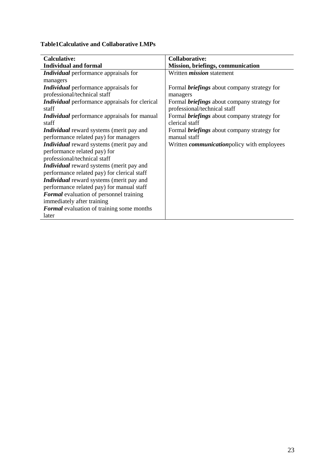**Table1Calculative and Collaborative LMPs**

| <b>Calculative:</b>                                   | <b>Collaborative:</b>                              |
|-------------------------------------------------------|----------------------------------------------------|
| <b>Individual and formal</b>                          | Mission, briefings, communication                  |
| Individual performance appraisals for                 | Written <i>mission</i> statement                   |
| managers                                              |                                                    |
| <i>Individual</i> performance appraisals for          | Formal <i>briefings</i> about company strategy for |
| professional/technical staff                          | managers                                           |
| <i>Individual</i> performance appraisals for clerical | Formal <i>briefings</i> about company strategy for |
| staff                                                 | professional/technical staff                       |
| <i>Individual</i> performance appraisals for manual   | Formal <i>briefings</i> about company strategy for |
| staff                                                 | clerical staff                                     |
| <i>Individual</i> reward systems (merit pay and       | Formal <i>briefings</i> about company strategy for |
| performance related pay) for managers                 | manual staff                                       |
| <i>Individual</i> reward systems (merit pay and       | Written <i>communication</i> policy with employees |
| performance related pay) for                          |                                                    |
| professional/technical staff                          |                                                    |
| Individual reward systems (merit pay and              |                                                    |
| performance related pay) for clerical staff           |                                                    |
| Individual reward systems (merit pay and              |                                                    |
| performance related pay) for manual staff             |                                                    |
| <b>Formal</b> evaluation of personnel training        |                                                    |
| immediately after training                            |                                                    |
| Formal evaluation of training some months             |                                                    |
| later                                                 |                                                    |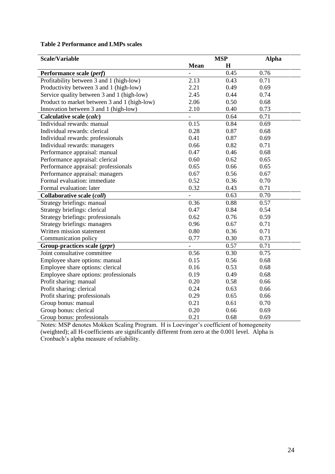# **Table 2 Performance and LMPs scales**

| <b>Scale/Variable</b>                        | <b>MSP</b>     |             | <b>Alpha</b> |
|----------------------------------------------|----------------|-------------|--------------|
|                                              | <b>Mean</b>    | $\mathbf H$ |              |
| Performance scale (perf)                     |                | 0.45        | 0.76         |
| Profitability between 3 and 1 (high-low)     | 2.13           | 0.43        | 0.71         |
| Productivity between 3 and 1 (high-low)      | 2.21           | 0.49        | 0.69         |
| Service quality between 3 and 1 (high-low)   | 2.45           | 0.44        | 0.74         |
| Product to market between 3 and 1 (high-low) | 2.06           | 0.50        | 0.68         |
| Innovation between 3 and 1 (high-low)        | 2.10           | 0.40        | 0.73         |
| Calculative scale (calc)                     |                | 0.64        | 0.71         |
| Individual rewards: manual                   | 0.15           | 0.84        | 0.69         |
| Individual rewards: clerical                 | 0.28           | 0.87        | 0.68         |
| Individual rewards: professionals            | 0.41           | 0.87        | 0.69         |
| Individual rewards: managers                 | 0.66           | 0.82        | 0.71         |
| Performance appraisal: manual                | 0.47           | 0.46        | 0.68         |
| Performance appraisal: clerical              | 0.60           | 0.62        | 0.65         |
| Performance appraisal: professionals         | 0.65           | 0.66        | 0.65         |
| Performance appraisal: managers              | 0.67           | 0.56        | 0.67         |
| Formal evaluation: immediate                 | 0.52           | 0.36        | 0.70         |
| Formal evaluation: later                     | 0.32           | 0.43        | 0.71         |
| Collaborative scale (coll)                   |                | 0.63        | 0.70         |
| Strategy briefings: manual                   | 0.36           | 0.88        | 0.57         |
| Strategy briefings: clerical                 | 0.47           | 0.84        | 0.54         |
| Strategy briefings: professionals            | 0.62           | 0.76        | 0.59         |
| <b>Strategy briefings: managers</b>          | 0.96           | 0.67        | 0.71         |
| Written mission statement                    | 0.80           | 0.36        | 0.71         |
| Communication policy                         | 0.77           | 0.30        | 0.73         |
| Group-practices scale (grpr)                 | $\overline{a}$ | 0.57        | 0.71         |
| Joint consultative committee                 | 0.56           | 0.30        | 0.75         |
| Employee share options: manual               | 0.15           | 0.56        | 0.68         |
| Employee share options: clerical             | 0.16           | 0.53        | 0.68         |
| Employee share options: professionals        | 0.19           | 0.49        | 0.68         |
| Profit sharing: manual                       | 0.20           | 0.58        | 0.66         |
| Profit sharing: clerical                     | 0.24           | 0.63        | 0.66         |
| Profit sharing: professionals                | 0.29           | 0.65        | 0.66         |
| Group bonus: manual                          | 0.21           | 0.61        | 0.70         |
| Group bonus: clerical                        | 0.20           | 0.66        | 0.69         |
| Group bonus: professionals                   | 0.21           | 0.68        | 0.69         |

Notes: MSP denotes Mokken Scaling Program. H is Loevinger's coefficient of homogeneity (weighted); all H-coefficients are significantly different from zero at the 0.001 level. Alpha is Cronbach's alpha measure of reliability.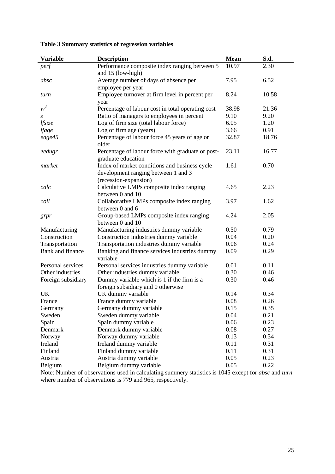| <b>Variable</b>    | <b>Description</b>                                | <b>Mean</b> | S.d.  |
|--------------------|---------------------------------------------------|-------------|-------|
| perf               | Performance composite index ranging between 5     | 10.97       | 2.30  |
|                    | and 15 (low-high)                                 |             |       |
| absc               | Average number of days of absence per             | 7.95        | 6.52  |
|                    | employee per year                                 |             |       |
| turn               | Employee turnover at firm level in percent per    | 8.24        | 10.58 |
|                    | year                                              |             |       |
| $w^d$              | Percentage of labour cost in total operating cost | 38.98       | 21.36 |
| S                  | Ratio of managers to employees in percent         | 9.10        | 9.20  |
| lfsize             | Log of firm size (total labour force)             | 6.05        | 1.20  |
| lfage              | Log of firm age (years)                           | 3.66        | 0.91  |
| eage45             | Percentage of labour force 45 years of age or     | 32.87       | 18.76 |
|                    | older                                             |             |       |
| eedugr             | Percentage of labour force with graduate or post- | 23.11       | 16.77 |
|                    | graduate education                                |             |       |
| market             | Index of market conditions and business cycle     | 1.61        | 0.70  |
|                    | development ranging between 1 and 3               |             |       |
|                    | (recession-expansion)                             |             |       |
| calc               | Calculative LMPs composite index ranging          | 4.65        | 2.23  |
|                    | between 0 and 10                                  |             |       |
| coll               | Collaborative LMPs composite index ranging        | 3.97        | 1.62  |
|                    | between 0 and 6                                   |             |       |
| grpr               | Group-based LMPs composite index ranging          | 4.24        | 2.05  |
|                    | between 0 and 10                                  |             |       |
| Manufacturing      | Manufacturing industries dummy variable           | 0.50        | 0.79  |
| Construction       | Construction industries dummy variable            | 0.04        | 0.20  |
| Transportation     | Transportation industries dummy variable          | 0.06        | 0.24  |
| Bank and finance   | Banking and finance services industries dummy     | 0.09        | 0.29  |
|                    | variable                                          |             |       |
| Personal services  | Personal services industries dummy variable       | 0.01        | 0.11  |
| Other industries   | Other industries dummy variable                   | 0.30        | 0.46  |
| Foreign subsidiary | Dummy variable which is 1 if the firm is a        | 0.30        | 0.46  |
|                    | foreign subsidiary and 0 otherwise                |             |       |
| UK                 | UK dummy variable                                 | 0.14        | 0.34  |
| France             | France dummy variable                             | 0.08        | 0.26  |
| Germany            | Germany dummy variable                            | 0.15        | 0.35  |
| Sweden             | Sweden dummy variable                             | 0.04        | 0.21  |
| Spain              | Spain dummy variable                              | 0.06        | 0.23  |
| Denmark            | Denmark dummy variable                            | 0.08        | 0.27  |
| Norway             | Norway dummy variable                             | 0.13        | 0.34  |
| Ireland            | Ireland dummy variable                            | 0.11        | 0.31  |
| Finland            | Finland dummy variable                            | 0.11        | 0.31  |
| Austria            | Austria dummy variable                            | 0.05        | 0.23  |
| Belgium            | Belgium dummy variable                            | 0.05        | 0.22  |

**Table 3 Summary statistics of regression variables**

Note: Number of observations used in calculating summery statistics is 1045 except for *absc* and *turn* where number of observations is 779 and 965, respectively.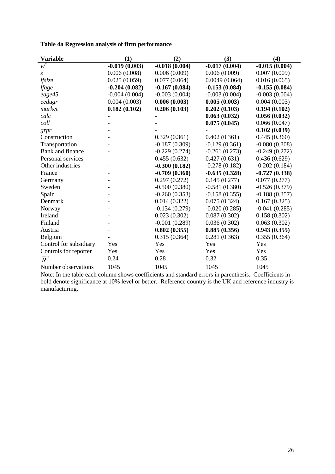|  |  | Table 4a Regression analysis of firm performance |
|--|--|--------------------------------------------------|
|  |  |                                                  |

| <b>Variable</b>        | (1)             | (2)             | (3)             | (4)             |
|------------------------|-----------------|-----------------|-----------------|-----------------|
| $w^d$                  | $-0.019(0.003)$ | $-0.018(0.004)$ | $-0.017(0.004)$ | $-0.015(0.004)$ |
| $\boldsymbol{S}$       | 0.006(0.008)    | 0.006(0.009)    | 0.006(0.009)    | 0.007(0.009)    |
| lfsize                 | 0.025(0.059)    | 0.077(0.064)    | 0.0049(0.064)   | 0.016(0.065)    |
| <i>lfage</i>           | $-0.204(0.082)$ | $-0.167(0.084)$ | $-0.153(0.084)$ | $-0.155(0.084)$ |
| eage45                 | $-0.004(0.004)$ | $-0.003(0.004)$ | $-0.003(0.004)$ | $-0.003(0.004)$ |
| eedugr                 | 0.004(0.003)    | 0.006(0.003)    | 0.005(0.003)    | 0.004(0.003)    |
| market                 | 0.182(0.102)    | 0.206(0.103)    | 0.202(0.103)    | 0.194(0.102)    |
| calc                   |                 |                 | 0.063(0.032)    | 0.056(0.032)    |
| coll                   |                 |                 | 0.075(0.045)    | 0.066(0.047)    |
| grpr                   |                 |                 |                 | 0.102(0.039)    |
| Construction           |                 | 0.329(0.361)    | 0.402(0.361)    | 0.445(0.360)    |
| Transportation         |                 | $-0.187(0.309)$ | $-0.129(0.361)$ | $-0.080(0.308)$ |
| Bank and finance       |                 | $-0.229(0.274)$ | $-0.261(0.273)$ | $-0.249(0.272)$ |
| Personal services      |                 | 0.455(0.632)    | 0.427(0.631)    | 0.436(0.629)    |
| Other industries       |                 | $-0.300(0.182)$ | $-0.278(0.182)$ | $-0.202(0.184)$ |
| France                 |                 | $-0.709(0.360)$ | $-0.635(0.328)$ | $-0.727(0.338)$ |
| Germany                |                 | 0.297(0.272)    | 0.145(0.277)    | 0.077(0.277)    |
| Sweden                 |                 | $-0.500(0.380)$ | $-0.581(0.380)$ | $-0.526(0.379)$ |
| Spain                  |                 | $-0.260(0.353)$ | $-0.158(0.355)$ | $-0.188(0.357)$ |
| Denmark                |                 | 0.014(0.322)    | 0.075(0.324)    | 0.167(0.325)    |
| Norway                 |                 | $-0.134(0.279)$ | $-0.020(0.285)$ | $-0.041(0.285)$ |
| Ireland                |                 | 0.023(0.302)    | 0.087(0.302)    | 0.158(0.302)    |
| Finland                |                 | $-0.001(0.289)$ | 0.036(0.302)    | 0.063(0.302)    |
| Austria                |                 | 0.802(0.355)    | 0.885(0.356)    | 0.943(0.355)    |
| Belgium                |                 | 0.315(0.364)    | 0.281(0.363)    | 0.355(0.364)    |
| Control for subsidiary | Yes             | Yes             | Yes             | Yes             |
| Controls for reporter  | Yes             | Yes             | Yes             | Yes             |
| $\overline{R}^2$       | 0.24            | 0.28            | 0.32            | 0.35            |
| Number observations    | 1045            | 1045            | 1045            | 1045            |

Note: In the table each column shows coefficients and standard errors in parenthesis. Coefficients in bold denote significance at 10% level or better. Reference country is the UK and reference industry is manufacturing.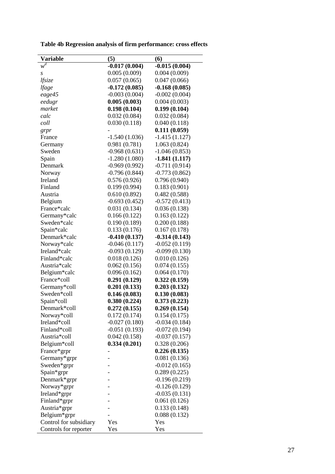**Table 4b Regression analysis of firm performance: cross effects**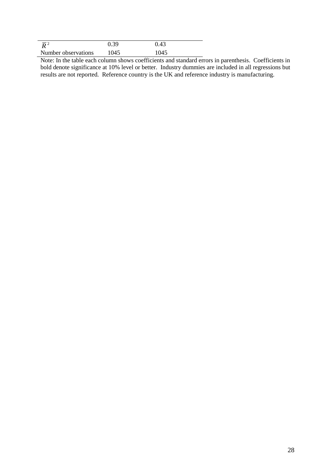| $\overline{p}^2$    | 0.39 | 0.43 |  |
|---------------------|------|------|--|
| Number observations | 1045 | 1045 |  |

 $R^2$ <br>  $R^2$ <br>  $R^2$ <br>  $R^2$ <br>  $R^2$ <br>  $R^2$ <br>  $R^2$ <br>  $R^2$ <br>  $R^2$ <br>  $R^2$ <br>  $R^2$ <br>  $R^2$ <br>  $R^2$ <br>  $R^2$ <br>  $R^2$ <br>  $R^2$ <br>  $R^2$ <br>  $R^2$ <br>  $R^2$ <br>  $R^2$ <br>  $R^2$ <br>  $R^2$ <br>  $R^2$ <br>  $R^2$ <br>  $R^2$ <br>  $R^2$ <br>  $R^2$ <br>  $R^2$ <br>  $R^2$ <br>  $R^2$ <br>  $R^2$ <br>  $R^2$ Note: In the table each column shows coefficients and standard errors in parenthesis. Coefficients in bold denote significance at 10% level or better. Industry dummies are included in all regressions but results are not reported. Reference country is the UK and reference industry is manufacturing.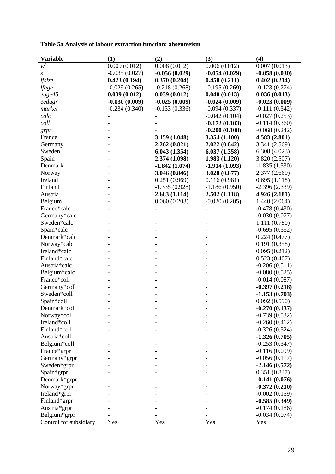**Table 5a Analysis of labour extraction function: absenteeism**

| <b>Variable</b>        | (1)             | (2)             | (3)             | (4)             |
|------------------------|-----------------|-----------------|-----------------|-----------------|
| $w^d$                  | 0.009(0.012)    | 0.008(0.012)    | 0.006(0.012)    | 0.007(0.013)    |
| S                      | $-0.035(0.027)$ | $-0.056(0.029)$ | $-0.054(0.029)$ | $-0.058(0.030)$ |
| lfsize                 | 0.423(0.194)    | 0.370(0.204)    | 0.458(0.211)    | 0.402(0.214)    |
| <i>lfage</i>           | $-0.029(0.265)$ | $-0.218(0.268)$ | $-0.195(0.269)$ | $-0.123(0.274)$ |
| eage45                 | 0.039(0.012)    | 0.039(0.012)    | 0.040(0.013)    | 0.036(0.013)    |
| eedugr                 | $-0.030(0.009)$ | $-0.025(0.009)$ | $-0.024(0.009)$ | $-0.023(0.009)$ |
| market                 | $-0.234(0.340)$ | $-0.133(0.336)$ | $-0.094(0.337)$ | $-0.111(0.342)$ |
| calc                   |                 |                 | $-0.042(0.104)$ | $-0.027(0.253)$ |
| coll                   |                 |                 | $-0.172(0.103)$ | $-0.114(0.360)$ |
| grpr                   |                 |                 | $-0.200(0.108)$ | $-0.068(0.242)$ |
| France                 |                 | 3.159(1.048)    | 3.354(1.100)    | 4.583(2.801)    |
| Germany                |                 | 2.262(0.821)    | 2.022(0.842)    | 3.341 (2.569)   |
| Sweden                 |                 | 6.043(1.354)    | 6.037(1.358)    | 6.308(4.023)    |
| Spain                  |                 | 2.374(1.098)    | 1.983(1.120)    | 3.820(2.507)    |
| Denmark                |                 | $-1.842(1.074)$ | $-1.914(1.093)$ | $-1.835(1.330)$ |
| Norway                 |                 | 3.046 (0.846)   | 3.028(0.877)    | 2.377(2.669)    |
| Ireland                |                 | 0.251(0.969)    | 0.116(0.981)    | 0.695(1.118)    |
| Finland                |                 | $-1.335(0.928)$ | $-1.186(0.950)$ | $-2.396(2.339)$ |
| Austria                |                 | 2.683(1.114)    | 2.502(1.118)    | 4.926(2.181)    |
| Belgium                |                 | 0.060(0.203)    | $-0.020(0.205)$ | 1.440(2.064)    |
| France*calc            |                 |                 |                 | $-0.478(0.430)$ |
| Germany*calc           |                 |                 |                 | $-0.030(0.077)$ |
| Sweden*calc            |                 |                 |                 | 1.111(0.780)    |
| Spain*calc             |                 |                 |                 | $-0.695(0.562)$ |
| Denmark*calc           |                 |                 |                 | 0.224(0.477)    |
| Norway*calc            |                 |                 |                 | 0.191(0.358)    |
| Ireland*calc           |                 |                 |                 | 0.095(0.212)    |
| Finland*calc           |                 |                 |                 | 0.523(0.407)    |
| Austria*calc           |                 |                 |                 | $-0.206(0.511)$ |
| Belgium*calc           |                 |                 |                 | $-0.080(0.525)$ |
| France*coll            |                 |                 |                 | $-0.014(0.087)$ |
| Germany*coll           |                 |                 |                 | $-0.397(0.218)$ |
| Sweden*coll            |                 |                 |                 | $-1.153(0.703)$ |
| Spain*coll             |                 |                 |                 | 0.092(0.590)    |
| Denmark*coll           |                 |                 |                 | $-0.270(0.137)$ |
| Norway*coll            |                 |                 |                 | $-0.739(0.532)$ |
| Ireland*coll           |                 |                 |                 | $-0.260(0.412)$ |
| Finland*coll           |                 |                 |                 | $-0.326(0.324)$ |
| Austria*coll           |                 |                 |                 | $-1.326(0.705)$ |
| Belgium*coll           |                 |                 |                 | $-0.253(0.347)$ |
| France*grpr            |                 |                 |                 | $-0.116(0.099)$ |
| Germany*grpr           |                 |                 |                 | $-0.056(0.117)$ |
| Sweden*grpr            |                 |                 |                 | $-2.146(0.572)$ |
| Spain*grpr             |                 |                 |                 | 0.351(0.837)    |
| Denmark*grpr           |                 |                 |                 | $-0.141(0.076)$ |
| Norway*grpr            |                 |                 |                 | $-0.372(0.210)$ |
| Ireland*grpr           |                 |                 |                 | $-0.002(0.159)$ |
| Finland*grpr           |                 |                 |                 | $-0.585(0.349)$ |
| Austria*grpr           |                 |                 |                 | $-0.174(0.186)$ |
| Belgium*grpr           |                 |                 |                 | $-0.034(0.074)$ |
| Control for subsidiary | Yes             | Yes             | Yes             | Yes             |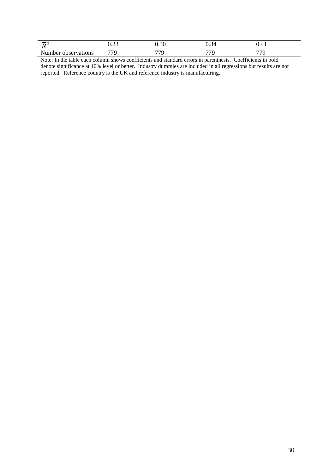| $\overline{\phantom{0}}$<br>. . | 0.ZJ | $\cap$<br>J.JU | ∼<br>      | . т |
|---------------------------------|------|----------------|------------|-----|
| Number observations             | 770  | 770            | $\pi\pi c$ | 77C |

 $R^2$ <br>  $R^2$ <br>  $R^2$ <br>  $R^2$ <br>  $R^2$ <br>  $R^2$ <br>  $R^2$ <br>  $R^2$ <br>  $R^2$ <br>  $R^2$ <br>  $R^2$ <br>  $R^2$ <br>  $R^2$ <br>  $R^2$ <br>  $R^2$ <br>  $R^2$ <br>  $R^2$ <br>  $R^2$ <br>  $R^2$ <br>  $R^2$ <br>  $R^2$ <br>  $R^2$ <br>  $R^2$ <br>  $R^2$ <br>  $R^2$ <br>  $R^2$ <br>  $R^2$ <br>  $R^2$ <br>  $R^2$ <br>  $R^2$ <br>  $R^2$ <br>  $R^2$ Note: In the table each column shows coefficients and standard errors in parenthesis. Coefficients in bold denote significance at 10% level or better. Industry dummies are included in all regressions but results are not reported. Reference country is the UK and reference industry is manufacturing.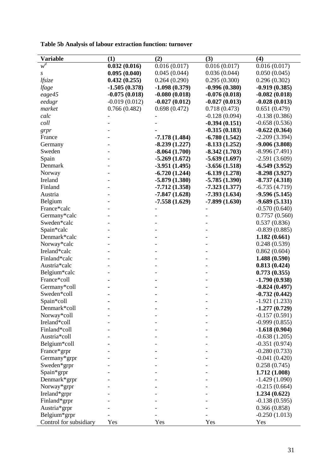**Table 5b Analysis of labour extraction function: turnover**

| <b>Variable</b>        | (1)             | (2)             | (3)             | (4)             |
|------------------------|-----------------|-----------------|-----------------|-----------------|
| $w^d$                  | 0.032(0.016)    | 0.016(0.017)    | 0.016(0.017)    | 0.016(0.017)    |
| S                      | 0.095(0.040)    | 0.045(0.044)    | 0.036(0.044)    | 0.050(0.045)    |
| lfsize                 | 0.432(0.255)    | 0.264(0.290)    | 0.295(0.300)    | 0.296(0.302)    |
| <i>lfage</i>           | $-1.505(0.378)$ | $-1.098(0.379)$ | $-0.996(0.380)$ | $-0.919(0.385)$ |
| eage45                 | $-0.075(0.018)$ | $-0.080(0.018)$ | $-0.076(0.018)$ | $-0.082(0.018)$ |
| eedugr                 | $-0.019(0.012)$ | $-0.027(0.012)$ | $-0.027(0.013)$ | $-0.028(0.013)$ |
| market                 | 0.766(0.482)    | 0.698(0.472)    | 0.718(0.473)    | 0.651(0.479)    |
| calc                   |                 |                 | $-0.128(0.094)$ | $-0.138(0.386)$ |
| coll                   |                 |                 | $-0.394(0.151)$ | $-0.658(0.536)$ |
| $g$ rpr                |                 |                 | $-0.315(0.183)$ | $-0.622(0.364)$ |
| France                 |                 | $-7.178(1.484)$ | $-6.780(1.542)$ | $-2.209(3.394)$ |
| Germany                |                 | $-8.239(1.227)$ | $-8.133(1.252)$ | $-9.006(3.808)$ |
| Sweden                 |                 | $-8.064(1.700)$ | $-8.342(1.703)$ | $-8.996(7.491)$ |
| Spain                  |                 | $-5.269(1.672)$ | $-5.639(1.697)$ | $-2.591(3.609)$ |
| Denmark                |                 | $-3.951(1.495)$ | $-3.656(1.518)$ | $-6.549(3.952)$ |
| Norway                 |                 | $-6.720(1.244)$ | $-6.139(1.278)$ | $-8.298(3.927)$ |
| Ireland                |                 | $-5.879(1.380)$ | $-5.785(1.390)$ | $-8.737(4.318)$ |
| Finland                |                 | $-7.712(1.358)$ | $-7.323(1.377)$ | $-6.735(4.719)$ |
| Austria                |                 | $-7.847(1.628)$ | $-7.393(1.634)$ | $-9.596(5.145)$ |
| Belgium                |                 | $-7.558(1.629)$ | $-7.899(1.630)$ | $-9.689(5.131)$ |
| France*calc            |                 |                 |                 | $-0.570(0.640)$ |
| Germany*calc           |                 |                 |                 | 0.7757(0.560)   |
| Sweden*calc            |                 |                 |                 | 0.537(0.836)    |
| Spain*calc             |                 |                 |                 | $-0.839(0.885)$ |
| Denmark*calc           |                 |                 |                 | 1.182(0.661)    |
| Norway*calc            |                 |                 |                 | 0.248(0.539)    |
| Ireland*calc           |                 |                 |                 | 0.862(0.604)    |
| Finland*calc           |                 |                 |                 | 1.488(0.590)    |
| Austria*calc           |                 |                 |                 | 0.813(0.424)    |
| Belgium*calc           |                 |                 |                 | 0.773(0.355)    |
| France*coll            |                 |                 |                 | $-1.790(0.938)$ |
| Germany*coll           |                 |                 |                 | $-0.824(0.497)$ |
| Sweden*coll            |                 |                 |                 | $-0.732(0.442)$ |
| Spain*coll             |                 |                 |                 | $-1.921(1.233)$ |
| Denmark*coll           |                 |                 |                 | $-1.277(0.729)$ |
| Norway*coll            |                 |                 |                 | $-0.157(0.591)$ |
| Ireland*coll           |                 |                 |                 | $-0.999(0.855)$ |
| Finland*coll           |                 |                 |                 | $-1.618(0.904)$ |
| Austria*coll           |                 |                 |                 | $-0.638(1.205)$ |
| Belgium*coll           |                 |                 |                 | $-0.351(0.974)$ |
| France*grpr            |                 |                 |                 | $-0.280(0.733)$ |
| Germany*grpr           |                 |                 |                 | $-0.041(0.420)$ |
| Sweden*grpr            |                 |                 |                 | 0.258(0.745)    |
| Spain*grpr             |                 |                 |                 | 1.712(1.008)    |
| Denmark*grpr           |                 |                 |                 | $-1.429(1.090)$ |
| Norway*grpr            |                 |                 |                 | $-0.215(0.664)$ |
| Ireland*grpr           |                 |                 |                 | 1.234(0.622)    |
| Finland*grpr           |                 |                 |                 | $-0.138(0.595)$ |
| Austria*grpr           |                 |                 |                 | 0.366(0.858)    |
| Belgium*grpr           |                 |                 |                 | $-0.250(1.013)$ |
| Control for subsidiary | Yes             | Yes             | Yes             | Yes             |